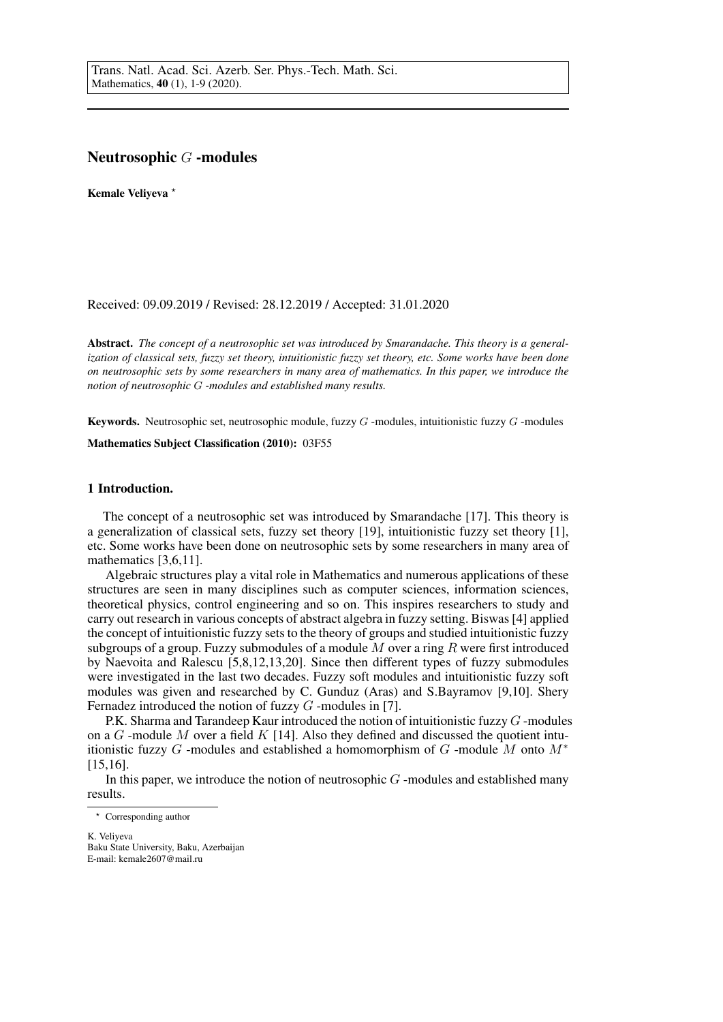# Neutrosophic G -modules

Kemale Veliyeva \*

Received: 09.09.2019 / Revised: 28.12.2019 / Accepted: 31.01.2020

Abstract. *The concept of a neutrosophic set was introduced by Smarandache. This theory is a generalization of classical sets, fuzzy set theory, intuitionistic fuzzy set theory, etc. Some works have been done on neutrosophic sets by some researchers in many area of mathematics. In this paper, we introduce the notion of neutrosophic* G *-modules and established many results.*

**Keywords.** Neutrosophic set, neutrosophic module, fuzzy  $G$  -modules, intuitionistic fuzzy  $G$  -modules

Mathematics Subject Classification (2010): 03F55

## 1 Introduction.

The concept of a neutrosophic set was introduced by Smarandache [17]. This theory is a generalization of classical sets, fuzzy set theory [19], intuitionistic fuzzy set theory [1], etc. Some works have been done on neutrosophic sets by some researchers in many area of mathematics [3,6,11].

Algebraic structures play a vital role in Mathematics and numerous applications of these structures are seen in many disciplines such as computer sciences, information sciences, theoretical physics, control engineering and so on. This inspires researchers to study and carry out research in various concepts of abstract algebra in fuzzy setting. Biswas [4] applied the concept of intuitionistic fuzzy sets to the theory of groups and studied intuitionistic fuzzy subgroups of a group. Fuzzy submodules of a module  $M$  over a ring  $R$  were first introduced by Naevoita and Ralescu [5,8,12,13,20]. Since then different types of fuzzy submodules were investigated in the last two decades. Fuzzy soft modules and intuitionistic fuzzy soft modules was given and researched by C. Gunduz (Aras) and S.Bayramov [9,10]. Shery Fernadez introduced the notion of fuzzy  $G$  -modules in [7].

P.K. Sharma and Tarandeep Kaur introduced the notion of intuitionistic fuzzy  $G$  -modules on a  $G$ -module M over a field  $K$  [14]. Also they defined and discussed the quotient intuitionistic fuzzy G -modules and established a homomorphism of G -module M onto  $M^*$ [15,16].

In this paper, we introduce the notion of neutrosophic  $G$ -modules and established many results.

<sup>?</sup> Corresponding author

K. Veliyeva Baku State University, Baku, Azerbaijan E-mail: kemale2607@mail.ru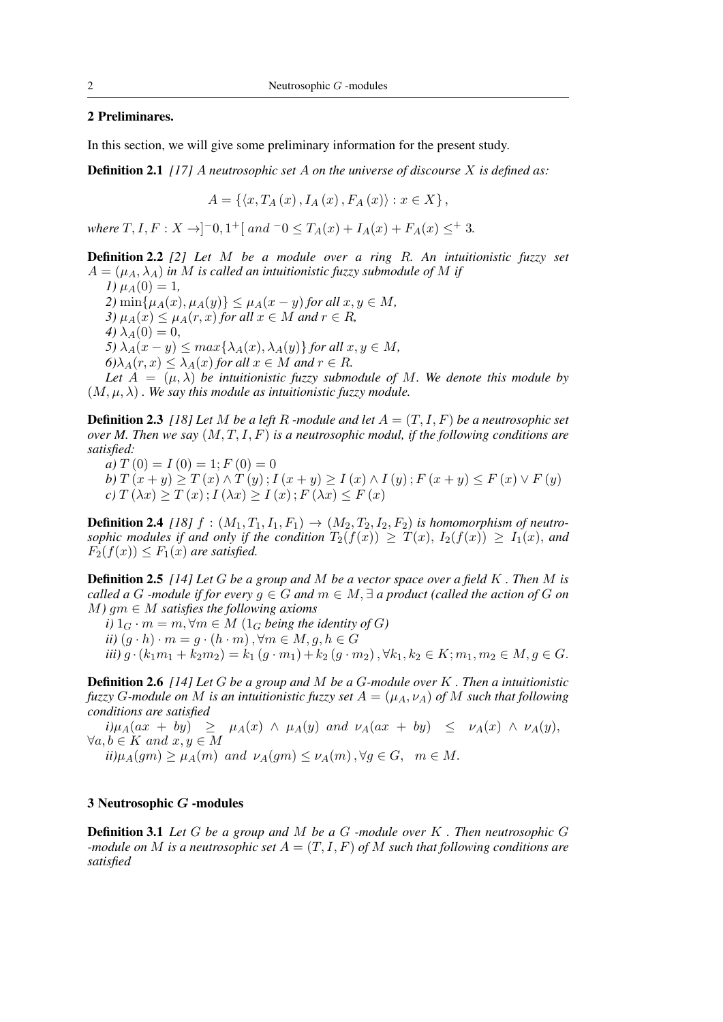## 2 Preliminares.

In this section, we will give some preliminary information for the present study.

Definition 2.1 *[17]* A *neutrosophic set* A *on the universe of discourse* X *is defined as:*

$$
A = \{ \langle x, T_A(x), I_A(x), F_A(x) \rangle : x \in X \}
$$

*where*  $T, I, F: X \to ]-0, 1^+[$  and  $-0 \le T_A(x) + I_A(x) + F_A(x) \le^+ 3$ .

Definition 2.2 *[2] Let* M *be a module over a ring* R*. An intuitionistic fuzzy set*  $A = (\mu_A, \lambda_A)$  *in* M *is called an intuitionistic fuzzy submodule of* M *if* 

*1*)  $\mu_A(0) = 1$ , *2*) min{ $\mu_A(x), \mu_A(y)$ } ≤  $\mu_A(x - y)$  *for all*  $x, y \in M$ , *3)*  $\mu_A(x) \leq \mu_A(r, x)$  *for all*  $x \in M$  *and*  $r \in R$ *, 4*)  $\lambda_A(0) = 0$ , *5)*  $\lambda_A(x - y) \leq max\{\lambda_A(x), \lambda_A(y)\}$  *for all*  $x, y \in M$ *,*  $6)\lambda_A(r, x) \leq \lambda_A(x)$  *for all*  $x \in M$  *and*  $r \in R$ *.* 

Let  $A = (\mu, \lambda)$  be intuitionistic fuzzy submodule of M. We denote this module by  $(M, \mu, \lambda)$ . We say this module as intuitionistic fuzzy module.

**Definition 2.3** *[18] Let* M *be a left* R *-module and let*  $A = (T, I, F)$  *be a neutrosophic set over M. Then we say* (M, T, I, F) *is a neutrosophic modul, if the following conditions are satisfied:*

*a*)  $T(0) = I(0) = 1; F(0) = 0$ 

*b*)  $T(x + y) \geq T(x) \wedge T(y)$ ;  $I(x + y) \geq I(x) \wedge I(y)$ ;  $F(x + y) \leq F(x) \vee F(y)$  $c) T(\lambda x) \geq T(x); I(\lambda x) \geq I(x); F(\lambda x) \leq F(x)$ 

**Definition 2.4** [18]  $f : (M_1, T_1, I_1, F_1) \rightarrow (M_2, T_2, I_2, F_2)$  *is homomorphism of neutrosophic modules if and only if the condition*  $T_2(f(x)) \geq T(x)$ ,  $I_2(f(x)) \geq I_1(x)$ , and  $F_2(f(x)) \leq F_1(x)$  are satisfied.

Definition 2.5 *[14] Let* G *be a group and* M *be a vector space over a field* K *. Then* M *is called a* G *-module if for every*  $g \in G$  *and*  $m \in M$ ,  $\exists$  *a product (called the action of* G *on*  $M$ *)*  $qm \in M$  *satisfies the following axioms* 

*i*)  $1_G \cdot m = m$ ,  $\forall m \in M$  ( $1_G$  *being the identity of G*) *ii*)  $(g \cdot h) \cdot m = g \cdot (h \cdot m)$ ,  $\forall m \in M, g, h \in G$ *iii*)  $g \cdot (k_1m_1 + k_2m_2) = k_1 (g \cdot m_1) + k_2 (g \cdot m_2)$ ,  $\forall k_1, k_2 \in K$ ;  $m_1, m_2 \in M$ ,  $q \in G$ .

Definition 2.6 *[14] Let* G *be a group and* M *be a* G*-module over* K *. Then a intuitionistic fuzzy G*-module on M is an intuitionistic fuzzy set  $A = (\mu_A, \nu_A)$  of M such that following *conditions are satisfied*

 $i)\mu_A(ax + by) \geq \mu_A(x) \wedge \mu_A(y)$  and  $\nu_A(ax + by) \leq \nu_A(x) \wedge \nu_A(y)$ ,  $\forall a, b \in K \text{ and } x, y \in M$  $\mu_A(qm) > \mu_A(m)$  and  $\nu_A(qm) \leq \nu_A(m)$ ,  $\forall q \in G$ ,  $m \in M$ .

#### 3 Neutrosophic G -modules

Definition 3.1 *Let* G *be a group and* M *be a* G *-module over* K *. Then neutrosophic* G *-module on* M *is a neutrosophic set* A = (T, I, F) *of* M *such that following conditions are satisfied*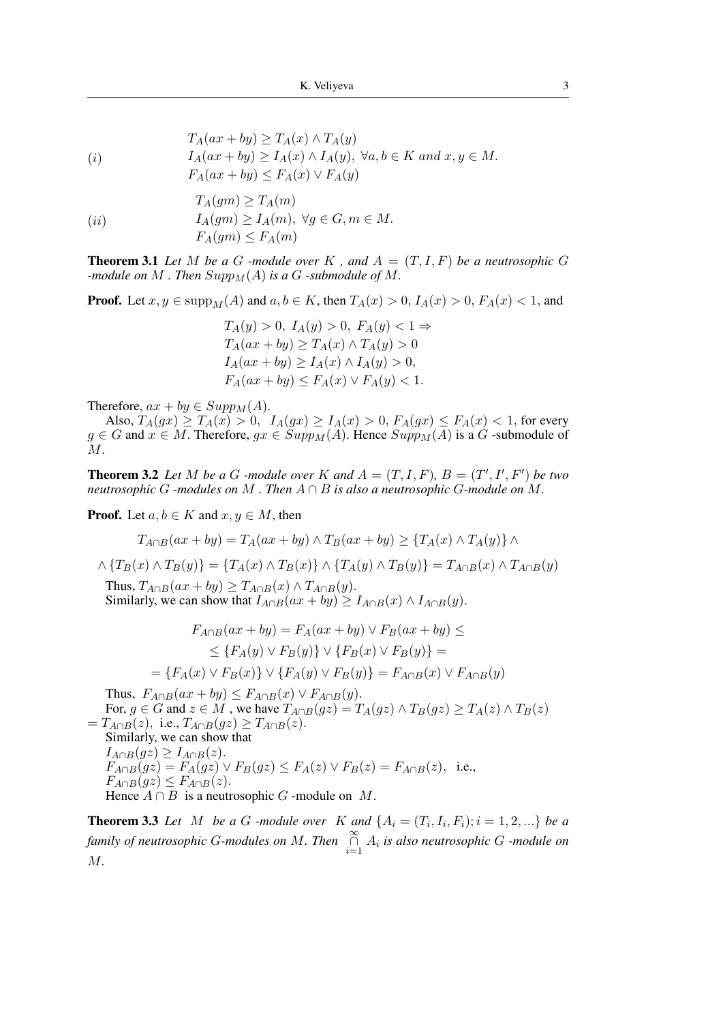$$
T_A(ax + by) \ge T_A(x) \wedge T_A(y)
$$
  
(i) 
$$
I_A(ax + by) \ge I_A(x) \wedge I_A(y), \ \forall a, b \in K \ and \ x, y \in M.
$$

$$
F_A(ax + by) \le F_A(x) \vee F_A(y)
$$

$$
T_A(gm) \ge T_A(m)
$$
  
(ii) 
$$
I_A(gm) \ge I_A(m), \ \forall g \in G, m \in M.
$$

$$
F_A(gm) \le F_A(m)
$$

**Theorem 3.1** Let M be a G -module over K, and  $A = (T, I, F)$  be a neutrosophic G *-module on*  $M$  *. Then*  $Supp<sub>M</sub>(A)$  *is a*  $G$  *-submodule of*  $M$ *.* 

**Proof.** Let  $x, y \in \text{supp}_M(A)$  and  $a, b \in K$ , then  $T_A(x) > 0$ ,  $I_A(x) > 0$ ,  $F_A(x) < 1$ , and

$$
T_A(y) > 0, I_A(y) > 0, F_A(y) < 1 \Rightarrow
$$
  
\n
$$
T_A(ax + by) \ge T_A(x) \land T_A(y) > 0
$$
  
\n
$$
I_A(ax + by) \ge I_A(x) \land I_A(y) > 0,
$$
  
\n
$$
F_A(ax + by) \le F_A(x) \lor F_A(y) < 1.
$$

Therefore,  $ax + by \in Supp_M(A)$ .

Also,  $T_A(gx) \ge T_A(x) > 0$ ,  $I_A(gx) \ge I_A(x) > 0$ ,  $F_A(gx) \le F_A(x) < 1$ , for every  $g \in G$  and  $x \in M$ . Therefore,  $gx \in Supp<sub>M</sub>(A)$ . Hence  $Supp<sub>M</sub>(A)$  is a G-submodule of  $M$ .

**Theorem 3.2** Let M be a G -module over K and  $A = (T, I, F)$ ,  $B = (T', I', F')$  be two *neutrosophic* G *-modules on* M *. Then* A ∩ B *is also a neutrosophic* G*-module on* M*.*

**Proof.** Let  $a, b \in K$  and  $x, y \in M$ , then

$$
T_{A \cap B}(ax + by) = T_A(ax + by) \wedge T_B(ax + by) \geq \{T_A(x) \wedge T_A(y)\} \wedge
$$

$$
\wedge \{T_B(x) \wedge T_B(y)\} = \{T_A(x) \wedge T_B(x)\} \wedge \{T_A(y) \wedge T_B(y)\} = T_{A \cap B}(x) \wedge T_{A \cap B}(y)
$$

Thus,  $T_{A\cap B}(ax + by) \geq T_{A\cap B}(x) \wedge T_{A\cap B}(y)$ . Similarly, we can show that  $I_{A \cap B}(ax + by) \geq I_{A \cap B}(x) \wedge I_{A \cap B}(y)$ .

$$
F_{A \cap B}(ax + by) = F_A(ax + by) \lor F_B(ax + by) \le
$$
  
\n
$$
\leq \{F_A(y) \lor F_B(y)\} \lor \{F_B(x) \lor F_B(y)\} =
$$
  
\n
$$
= \{F_A(x) \lor F_B(x)\} \lor \{F_A(y) \lor F_B(y)\} = F_{A \cap B}(x) \lor F_{A \cap B}(y)
$$

Thus,  $F_{A\cap B}(ax+by) \leq F_{A\cap B}(x) \vee F_{A\cap B}(y)$ .

For,  $g \in G$  and  $z \in M$  , we have  $T_{A \cap B}(gz) = T_A(gz) \wedge T_B(gz) \ge T_A(z) \wedge T_B(z)$  $=T_{A\cap B}(z)$ , i.e.,  $T_{A\cap B}(gz) \geq T_{A\cap B}(z)$ . Similarly, we can show that  $I_{A\cap B}(gz) \geq I_{A\cap B}(z).$  $F_{A\cap B}(gz) = F_A(gz) \vee F_B(gz) \leq F_A(z) \vee F_B(z) = F_{A\cap B}(z)$ , i.e.,  $F_{A\cap B}(gz) \leq F_{A\cap B}(z).$ 

Hence  $A \cap B$  is a neutrosophic G -module on M.

**Theorem 3.3** Let M be a G -module over K and  $\{A_i = (T_i, I_i, F_i); i = 1, 2, ...\}$  be a *family of neutrosophic G-modules on* M. Then  $\bigcap_{i=1}^{\infty} A_i$  is also neutrosophic G -module on M*.*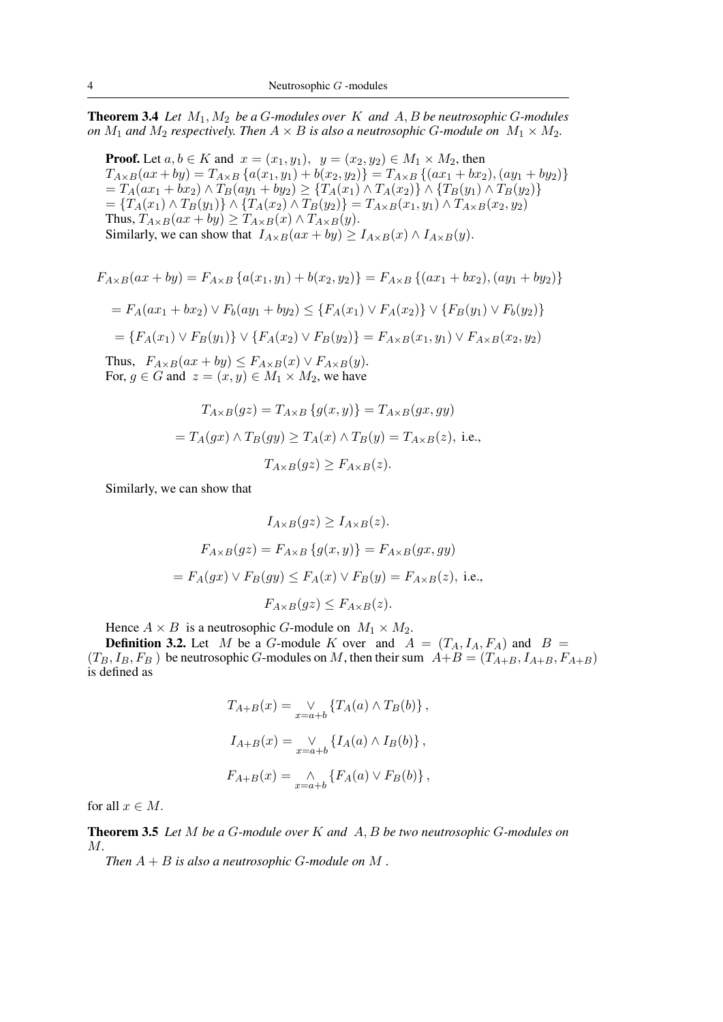**Theorem 3.4** *Let*  $M_1, M_2$  *be a G-modules over*  $K$  *and*  $A, B$  *be neutrosophic G-modules on*  $M_1$  *and*  $M_2$  *respectively. Then*  $A \times B$  *is also a neutrosophic G-module on*  $M_1 \times M_2$ *.* 

**Proof.** Let  $a, b \in K$  and  $x = (x_1, y_1), y = (x_2, y_2) \in M_1 \times M_2$ , then  $T_{A\times B}(ax+by) = T_{A\times B}\left\{a(x_1,y_1)+b(x_2,y_2)\right\} = T_{A\times B}\left\{(ax_1+bx_2),(ay_1+by_2)\right\}$  $=T_A(ax_1+bx_2) \wedge T_B(ay_1+by_2) \geq {T_A(x_1) \wedge T_A(x_2)} \wedge {T_B(y_1) \wedge T_B(y_2)}$  $=\{T_A(x_1) \wedge T_B(y_1)\}\wedge \{T_A(x_2) \wedge T_B(y_2)\}=T_{A\times B}(x_1,y_1)\wedge T_{A\times B}(x_2,y_2)$ Thus,  $T_{A\times B}(ax+by) \geq T_{A\times B}(x) \wedge T_{A\times B}(y)$ . Similarly, we can show that  $I_{A\times B}(ax+by) \geq I_{A\times B}(x) \wedge I_{A\times B}(y)$ .

$$
F_{A \times B}(ax + by) = F_{A \times B}\left\{a(x_1, y_1) + b(x_2, y_2)\right\} = F_{A \times B}\left\{(ax_1 + bx_2), (ay_1 + by_2)\right\}
$$

$$
= F_A(ax_1 + bx_2) \vee F_b(ay_1 + by_2) \le \{F_A(x_1) \vee F_A(x_2)\} \vee \{F_B(y_1) \vee F_b(y_2)\}
$$

$$
= \{F_A(x_1) \vee F_B(y_1)\} \vee \{F_A(x_2) \vee F_B(y_2)\} = F_{A \times B}(x_1, y_1) \vee F_{A \times B}(x_2, y_2)
$$

Thus,  $F_{A\times B}(ax+by) \leq F_{A\times B}(x) \vee F_{A\times B}(y)$ . For,  $g \in G$  and  $z = (x, y) \in M_1 \times M_2$ , we have

$$
T_{A \times B}(gz) = T_{A \times B} \{g(x, y)\} = T_{A \times B}(gx, gy)
$$
  
=  $T_A(gx) \land T_B(gy) \ge T_A(x) \land T_B(y) = T_{A \times B}(z)$ , i.e.,  
 $T_{A \times B}(gz) \ge F_{A \times B}(z)$ .

Similarly, we can show that

$$
I_{A \times B}(gz) \ge I_{A \times B}(z).
$$
  
\n
$$
F_{A \times B}(gz) = F_{A \times B}\{g(x, y)\} = F_{A \times B}(gx, gy)
$$
  
\n
$$
= F_A(gx) \lor F_B(gy) \le F_A(x) \lor F_B(y) = F_{A \times B}(z), \text{ i.e.,}
$$
  
\n
$$
F_{A \times B}(gz) \le F_{A \times B}(z).
$$

Hence  $A \times B$  is a neutrosophic G-module on  $M_1 \times M_2$ .

**Definition 3.2.** Let M be a G-module K over and  $A = (T_A, I_A, F_A)$  and  $B =$  $(T_B, I_B, F_B)$  be neutrosophic G-modules on M, then their sum  $A+B = (T_{A+B}, I_{A+B}, F_{A+B})$ is defined as

$$
T_{A+B}(x) = \bigvee_{x=a+b} \{T_A(a) \wedge T_B(b)\},
$$
  

$$
I_{A+B}(x) = \bigvee_{x=a+b} \{I_A(a) \wedge I_B(b)\},
$$
  

$$
F_{A+B}(x) = \bigwedge_{x=a+b} \{F_A(a) \vee F_B(b)\},
$$

for all  $x \in M$ .

Theorem 3.5 *Let* M *be a* G*-module over* K *and* A, B *be two neutrosophic* G*-modules on* M*.*

*Then*  $A + B$  *is also a neutrosophic G-module on*  $M$ .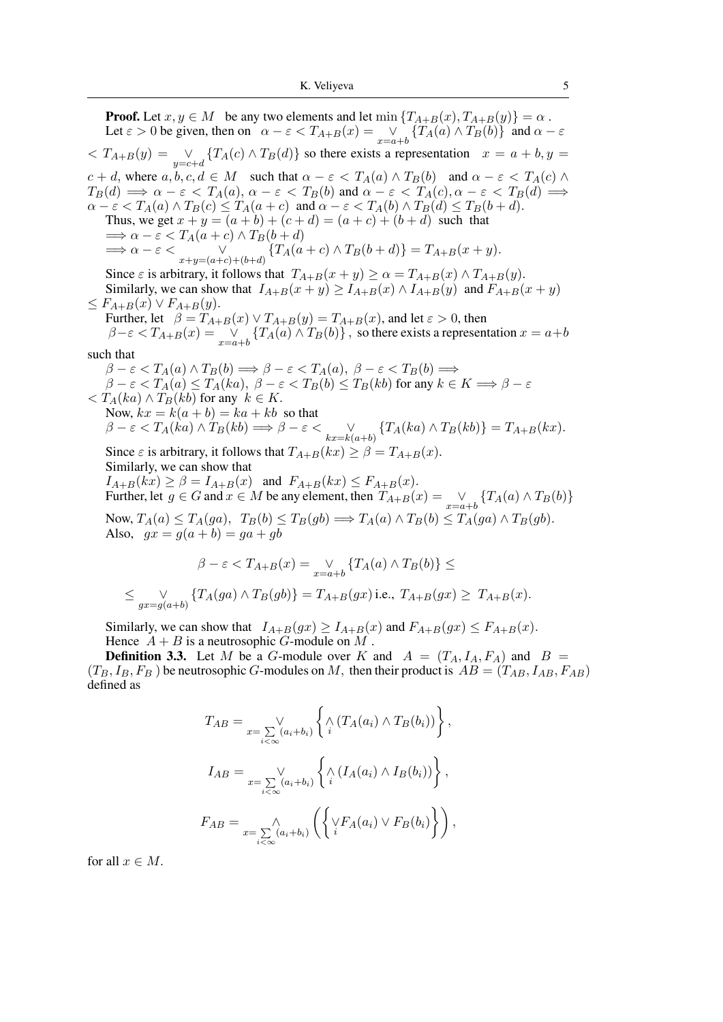**Proof.** Let  $x, y \in M$  be any two elements and let  $\min \{T_{A+B}(x), T_{A+B}(y)\} = \alpha$ . Let  $\varepsilon > 0$  be given, then on  $\alpha - \varepsilon < T_{A+B}(x) = \bigvee_{x=a+b} \{T_A(a) \wedge T_B(b)\}\$  and  $\alpha - \varepsilon$  $\langle T_{A+B}(y) \rangle = \bigvee_{y=c+d} \{T_A(c) \wedge T_B(d)\}\$ so there exists a representation  $x = a + b, y = c$  $c + d$ , where  $a, b, c, d \in M$  such that  $\alpha - \varepsilon < T_A(a) \wedge T_B(b)$  and  $\alpha - \varepsilon < T_A(c) \wedge T_B(c)$  $T_B(d) \implies \alpha - \varepsilon < T_A(a), \, \alpha - \varepsilon < T_B(b)$  and  $\alpha - \varepsilon < T_A(c), \alpha - \varepsilon < T_B(d) \implies$  $\alpha - \varepsilon < T_A(a) \wedge T_B(c) \le T_A(a+c)$  and  $\alpha - \varepsilon < T_A(b) \wedge T_B(d) \le T_B(b+d)$ . Thus, we get  $x + y = (a + b) + (c + d) = (a + c) + (b + d)$  such that  $\Rightarrow \alpha - \varepsilon < T_A(a+c) \wedge T_B(b+d)$  $\implies \alpha - \varepsilon < \bigvee_{x+y=(a+c)+(b+d)} \{T_A(a+c) \wedge T_B(b+d)\} = T_{A+B}(x+y).$ Since  $\varepsilon$  is arbitrary, it follows that  $T_{A+B}(x+y) \ge \alpha = T_{A+B}(x) \wedge T_{A+B}(y)$ . Similarly, we can show that  $I_{A+B}(x+y) \geq I_{A+B}(x) \wedge I_{A+B}(y)$  and  $F_{A+B}(x+y)$  $\leq F_{A+B}(x) \vee F_{A+B}(y).$ Further, let  $\beta = T_{A+B}(x) \vee T_{A+B}(y) = T_{A+B}(x)$ , and let  $\varepsilon > 0$ , then  $\beta-\varepsilon < T_{A+B}(x) = \mathop{\vee}\limits_{x=a+b} \left\{T_A(a) \wedge T_B(b)\right\}, \text{ so there exists a representation } x = a+b$ such that  $\beta - \varepsilon < T_A(a) \wedge T_B(b) \Longrightarrow \beta - \varepsilon < T_A(a), \ \beta - \varepsilon < T_B(b) \Longrightarrow$  $\beta-\varepsilon < T_A(a) \le T_A(ka),\; \beta-\varepsilon < T_B(b) \le T_B(kb)$  for any  $k\in K \Longrightarrow \beta-\varepsilon$  $\langle T_A(ka) \wedge T_B(kb) \rangle$  for any  $k \in K$ . Now,  $kx = k(a + b) = ka + kb$  so that  $\beta - \varepsilon < T_A(ka) \wedge T_B(kb) \Longrightarrow \beta - \varepsilon < \bigvee_{kx=k(a+b)} \{T_A(ka) \wedge T_B(kb)\} = T_{A+B}(kx).$ Since  $\varepsilon$  is arbitrary, it follows that  $T_{A+B}(kx) \geq \beta = T_{A+B}(x)$ . Similarly, we can show that  $I_{A+B}(kx) \geq \beta = I_{A+B}(x)$  and  $F_{A+B}(kx) \leq F_{A+B}(x)$ . Further, let  $g \in G$  and  $x \in M$  be any element, then  $T_{A+B}(x) = \bigvee_{x=a+b} \{T_A(a) \wedge T_B(b)\}$ Now,  $T_A(a) \leq T_A(ga)$ ,  $T_B(b) \leq T_B(gb) \Longrightarrow T_A(a) \wedge T_B(b) \leq T_A(ga) \wedge T_B(gb)$ . Also,  $gx = g(a + b) = ga + gb$  $\beta - \varepsilon < T_{A+B}(x) = \bigvee_{x=a+b} \{T_A(a) \wedge T_B(b)\} \le$ 

$$
\leq \bigvee_{gx=g(a+b)} \{T_A(ga) \wedge T_B(gb)\} = T_{A+B}(gx) \text{ i.e., } T_{A+B}(gx) \geq T_{A+B}(x).
$$

Similarly, we can show that  $I_{A+B}(gx) \ge I_{A+B}(x)$  and  $F_{A+B}(gx) \le F_{A+B}(x)$ . Hence  $A + B$  is a neutrosophic G-module on M.

**Definition 3.3.** Let M be a G-module over K and  $A = (T_A, I_A, F_A)$  and  $B =$  $(T_B, I_B, F_B)$  be neutrosophic G-modules on M, then their product is  $AB = (T_{AB}, I_{AB}, F_{AB})$ defined as

$$
T_{AB} = \bigvee_{x = \sum_{i < \infty} (a_i + b_i)} \left\{ \bigwedge_i (T_A(a_i) \wedge T_B(b_i)) \right\},
$$
  

$$
I_{AB} = \bigvee_{x = \sum_{i < \infty} (a_i + b_i)} \left\{ \bigwedge_i (I_A(a_i) \wedge I_B(b_i)) \right\},
$$
  

$$
F_{AB} = \bigwedge_{x = \sum_{i < \infty} (a_i + b_i)} \left( \left\{ \bigvee_i F_A(a_i) \vee F_B(b_i) \right\} \right),
$$

for all  $x \in M$ .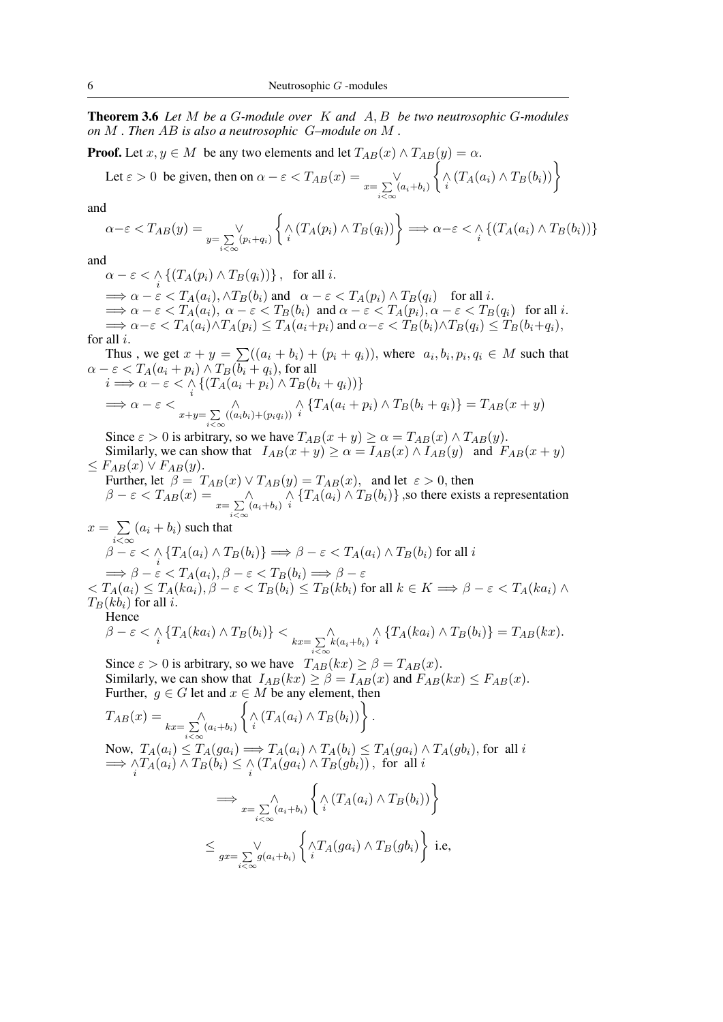Theorem 3.6 *Let* M *be a* G*-module over* K *and* A, B *be two neutrosophic* G*-modules on* M *. Then* AB *is also a neutrosophic* G*–module on* M *.*

**Proof.** Let  $x, y \in M$  be any two elements and let  $T_{AB}(x) \wedge T_{AB}(y) = \alpha$ .

Let 
$$
\varepsilon > 0
$$
 be given, then on  $\alpha - \varepsilon < T_{AB}(x) = \bigvee_{x = \sum_{i < \infty} (a_i + b_i)} \left\{ \bigwedge_i (T_A(a_i) \wedge T_B(b_i)) \right\}$ 

and

$$
\alpha - \varepsilon < T_{AB}(y) = \bigvee_{y = \sum\limits_{i < \infty} (p_i + q_i)} \left\{ \left\langle \sum_i (T_A(p_i) \wedge T_B(q_i)) \right\rangle \right\} \Longrightarrow \alpha - \varepsilon < \left\langle \sum_i \left\{ (T_A(a_i) \wedge T_B(b_i)) \right\} \right\}
$$

and

 $\alpha - \varepsilon < \bigwedge_i \left\{ (T_A(p_i) \wedge T_B(q_i)) \right\}, \text{ for all } i.$  $\implies \alpha - \varepsilon < T_A(a_i), \wedge T_B(b_i) \text{ and } \alpha - \varepsilon < T_A(p_i) \wedge T_B(q_i) \text{ for all } i.$  $\implies \alpha - \varepsilon < T_A(a_i), \ \alpha - \varepsilon < T_B(b_i) \text{ and } \alpha - \varepsilon < T_A(p_i), \alpha - \varepsilon < T_B(q_i) \text{ for all } i.$  $\Rightarrow \alpha-\varepsilon < T_A(a_i)\wedge T_A(p_i) \leq T_A(a_i+p_i)$  and  $\alpha-\varepsilon < T_B(b_i)\wedge T_B(q_i) \leq T_B(b_i+q_i)$ , for all i.

Thus, we get  $x + y = \sum (a_i + b_i) + (p_i + q_i)$ , where  $a_i, b_i, p_i, q_i \in M$  such that  $\alpha - \varepsilon < T_A(a_i + p_i) \wedge T_B(b_i + q_i)$ , for all  $i \Longrightarrow \alpha - \varepsilon < \bigwedge_i \{ (T_A(a_i + p_i) \wedge T_B(b_i + q_i)) \}$ 

$$
\implies \alpha - \varepsilon < \sum_{x+y=\sum_{i<\infty}((a_ib_i)+(p_iq_i))}^{\infty} \left\{T_A(a_i+p_i) \land T_B(b_i+q_i)\right\} = T_{AB}(x+y)
$$

Since  $\varepsilon > 0$  is arbitrary, so we have  $T_{AB}(x+y) \ge \alpha = T_{AB}(x) \wedge T_{AB}(y)$ . Similarly, we can show that  $I_{AB}(x + y) \ge \alpha = I_{AB}(x) \wedge I_{AB}(y)$  and  $F_{AB}(x + y)$ 

 $\leq F_{AB}(x) \vee F_{AB}(y).$ Further, let  $\beta = T_{AB}(x) \vee T_{AB}(y) = T_{AB}(x)$ , and let  $\varepsilon > 0$ , then  $\beta - \varepsilon < T_{AB}(x) = \sum_{x = \sum_{i < \infty} (a_i + b_i)}$  $\bigwedge_i \{T_A(a_i) \wedge T_B(b_i)\}\$ , so there exists a representation

$$
x = \sum_{i < \infty} (a_i + b_i) \text{ such that}
$$
  
\n
$$
\beta - \varepsilon < \Lambda \{ T_A(a_i) \land T_B(b_i) \} \Longrightarrow \beta - \varepsilon < T_A(a_i) \land T_B(b_i) \text{ for all } i
$$
  
\n
$$
\Longrightarrow \beta - \varepsilon < T_A(a_i), \beta - \varepsilon < T_B(b_i) \Longrightarrow \beta - \varepsilon
$$

 $\langle S \rangle \langle T_A(a_i) \rangle \leq T_A(ka_i), \beta - \varepsilon \langle T_B(b_i) \rangle \leq T_B(kb_i)$  for all  $k \in K \Longrightarrow \beta - \varepsilon \langle T_A(ka_i) \rangle \wedge T_A(ka_i)$  $T_B(kb_i)$  for all i.

Hence

$$
\beta - \varepsilon < \bigwedge_i \{ T_A(ka_i) \wedge T_B(b_i) \} < \bigwedge_{kx = \sum_{i < \infty} k(a_i + b_i)} \bigwedge_i \{ T_A(ka_i) \wedge T_B(b_i) \} = T_{AB}(kx).
$$

Since  $\varepsilon > 0$  is arbitrary, so we have  $T_{AB}(kx) \ge \beta = T_{AB}(x)$ . Similarly, we can show that  $I_{AB}(kx) \ge \beta = I_{AB}(x)$  and  $F_{AB}(kx) \le F_{AB}(x)$ . Further,  $g \in G$  let and  $x \in M$  be any element, then

$$
T_{AB}(x) = \bigwedge_{kx=\sum_{i<\infty}^{  
\nNow,  $T_A(a_i) \le T_A(ga_i) \implies T_A(a_i) \wedge T_A(b_i) \le T_A(ga_i) \wedge T_A(gb_i)$ , for all  $i$   
\n $\implies \bigwedge_i T_A(a_i) \wedge T_B(b_i) \le \bigwedge_i (T_A(ga_i) \wedge T_B(gb_i)) \big)$ , for all  $i$   
\n $\implies \bigwedge_{x=\sum_{i<\infty}^{  
\n $\le \bigwedge_{gx=\sum_{i<\infty}^{ i.e,$$
$$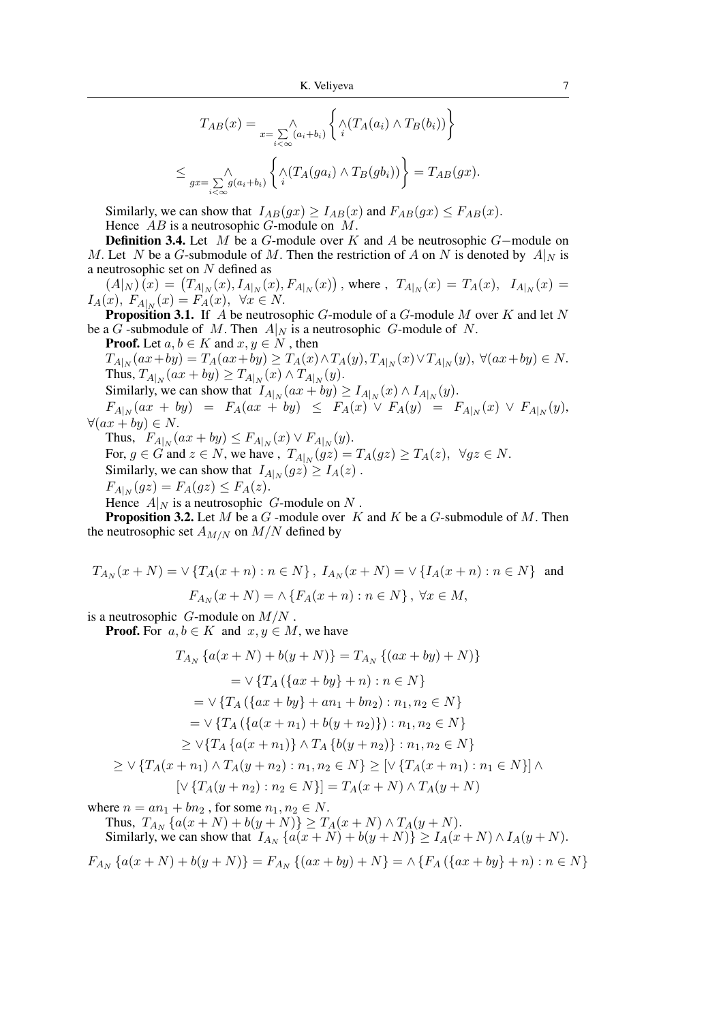$$
T_{AB}(x) = \bigwedge_{i < \infty} \{ \bigwedge_{i < \infty} (a_i + b_i) \left\{ \bigwedge_i (T_A(a_i) \wedge T_B(b_i)) \right\}
$$
  

$$
\leq \bigwedge_{gx = \sum_{i < \infty} g(a_i + b_i) \left\{ \bigwedge_i (T_A(ga_i) \wedge T_B(gb_i)) \right\}} = T_{AB}(gx).
$$

Similarly, we can show that  $I_{AB}(gx) \geq I_{AB}(x)$  and  $F_{AB}(gx) \leq F_{AB}(x)$ . Hence  $AB$  is a neutrosophic  $G$ -module on  $M$ .

**Definition 3.4.** Let M be a G-module over K and A be neutrosophic G-module on M. Let N be a G-submodule of M. Then the restriction of A on N is denoted by  $A|_N$  is a neutrosophic set on  $N$  defined as

 $(A|_N)(x) = (T_{A|_N}(x), I_{A|_N}(x), F_{A|_N}(x))$ , where,  $T_{A|_N}(x) = T_A(x), I_{A|_N}(x) =$  $I_A(x)$ ,  $F_{A|_N}(x) = F_A(x)$ ,  $\forall x \in N$ .

**Proposition 3.1.** If  $\overline{A}$  be neutrosophic  $G$ -module of a  $G$ -module  $M$  over  $K$  and let  $N$ be a G-submodule of M. Then  $A|_N$  is a neutrosophic G-module of N.

**Proof.** Let  $a, b \in K$  and  $x, y \in N$ , then

 $T_{A|_N}(ax+by) = T_A(ax+by) \ge T_A(x) \wedge T_A(y), T_{A|_N}(x) \vee T_{A|_N}(y), \ \forall (ax+by) \in N.$ Thus,  $T_{A|_N}(ax + by) \ge T_{A|_N}(x) \wedge T_{A|_N}(y)$ .

Similarly, we can show that  $I_{A|_N}(ax + by) \ge I_{A|_N}(x) \wedge I_{A|_N}(y)$ .

 $F_{A|_N}(ax + by) = F_A(ax + by) \leq F_A(x) \vee F_A(y) = F_{A|_N}(x) \vee F_{A|_N}(y),$  $\forall (ax + by) \in N.$ 

Thus,  $F_{A|_N}(ax+by) \leq F_{A|_N}(x) \vee F_{A|_N}(y)$ .

For,  $g \in G$  and  $z \in N$ , we have,  $T_{A|_N}(gz) = T_A(gz) \ge T_A(z)$ ,  $\forall gz \in N$ . Similarly, we can show that  $I_{A|_N}(gz) \geq I_A(z)$ .

$$
F_{A|_N}(gz) = F_A(gz) \le F_A(z).
$$

Hence  $A|_N$  is a neutrosophic G-module on N.

**Proposition 3.2.** Let M be a G -module over K and K be a G-submodule of M. Then the neutrosophic set  $A_{M/N}$  on  $M/N$  defined by

$$
T_{A_N}(x+N) = \vee \{ T_A(x+n) : n \in N \}, I_{A_N}(x+N) = \vee \{ I_A(x+n) : n \in N \} \text{ and}
$$

$$
F_{A_N}(x+N) = \wedge \{ F_A(x+n) : n \in N \}, \forall x \in M,
$$

is a neutrosophic  $G$ -module on  $M/N$ .

**Proof.** For  $a, b \in K$  and  $x, y \in M$ , we have

$$
T_{A_N} \{a(x+N) + b(y+N)\} = T_{A_N} \{(ax+by)+N)\}
$$
  
\n
$$
= \vee \{T_A \{ \{ax+by\}+n\} : n \in N \}
$$
  
\n
$$
= \vee \{T_A \{ \{ax+by\}+an_1+bn_2\} : n_1, n_2 \in N \}
$$
  
\n
$$
= \vee \{T_A \{ \{a(x+n_1)+b(y+n_2)\} : n_1, n_2 \in N \}
$$
  
\n
$$
\geq \vee \{T_A \{a(x+n_1)\} \wedge T_A \{b(y+n_2)\} : n_1, n_2 \in N \}
$$
  
\n
$$
\geq \vee \{T_A(x+n_1) \wedge T_A(y+n_2) : n_1, n_2 \in N \} \geq [\vee \{T_A(x+n_1) : n_1 \in N \}] \wedge
$$

$$
[\vee \{ T_A(y + n_2) : n_2 \in N \}] = T_A(x + N) \wedge T_A(y + N)
$$

where  $n = an_1 + bn_2$ , for some  $n_1, n_2 \in N$ .

Thus,  $T_{A_N} \{ a(x+N) + b(y+N) \} \ge T_A(x+N) \wedge T_A(y+N)$ . Similarly, we can show that  $I_{A_N} \{a(x+N) + b(y+N)\} \ge I_A(x+N) \wedge I_A(y+N)$ .

 $F_{A_N} \{a(x+N)+b(y+N)\}=F_{A_N} \{(ax+by)+N\}=\wedge \{F_A \left(\{ax+by\}+n\right):n\in N\}$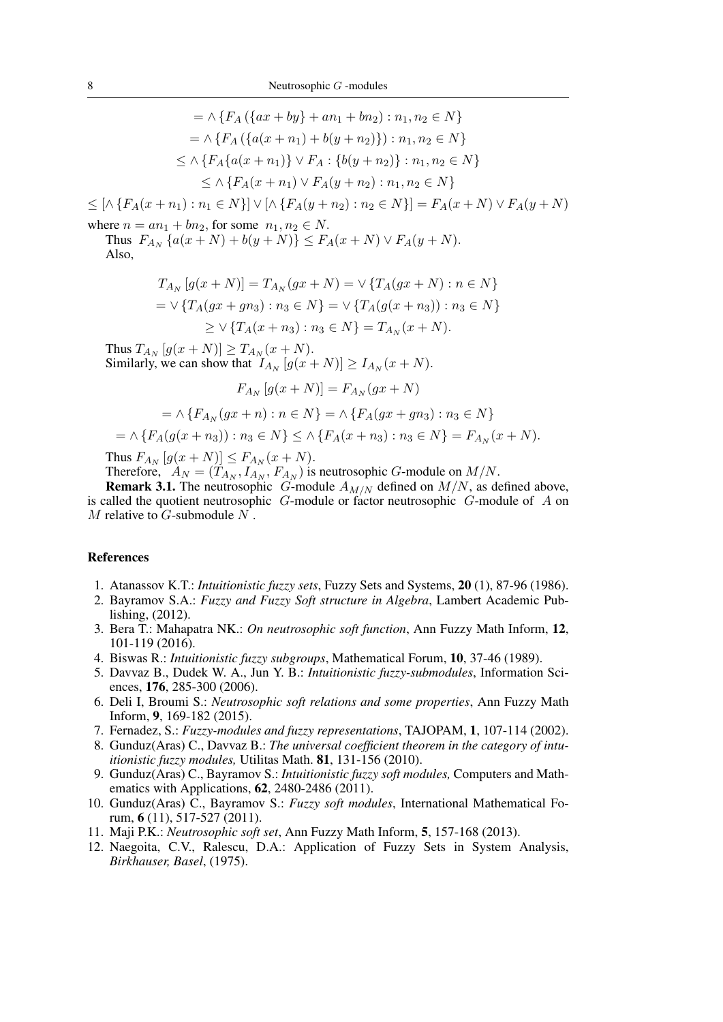$$
= \wedge \{F_A (\{ax + by\} + an_1 + bn_2) : n_1, n_2 \in N\}
$$
  
\n
$$
= \wedge \{F_A (\{a(x + n_1) + b(y + n_2)\}) : n_1, n_2 \in N\}
$$
  
\n
$$
\leq \wedge \{F_A \{a(x + n_1)\} \vee F_A : \{b(y + n_2)\} : n_1, n_2 \in N\}
$$
  
\n
$$
\leq \wedge \{F_A(x + n_1) \vee F_A(y + n_2) : n_1, n_2 \in N\}
$$

 $\leq [\wedge \{F_A(x+n_1): n_1 \in N\}] \vee [\wedge \{F_A(y+n_2): n_2 \in N\}] = F_A(x+N) \vee F_A(y+N)$ 

where  $n = an_1 + bn_2$ , for some  $n_1, n_2 \in N$ . Thus  $F_{A_N} \{a(x+N) + b(y+N)\} \le F_A(x+N) \vee F_A(y+N)$ .

Also,

$$
T_{A_N}[g(x+N)] = T_{A_N}(gx+N) = \vee \{T_A(gx+N) : n \in N\}
$$
  
=  $\vee \{T_A(gx+gn_3) : n_3 \in N\} = \vee \{T_A(g(x+n_3)) : n_3 \in N\}$   
 $\geq \vee \{T_A(x+n_3) : n_3 \in N\} = T_{A_N}(x+N).$ 

Thus  $T_{A_N}[g(x+N)] \ge T_{A_N}(x+N)$ . Similarly, we can show that  $I_{A_N}[g(x+N)] \geq I_{A_N}(x+N)$ .

$$
F_{A_N}[g(x+N)] = F_{A_N}(gx+N)
$$

$$
= \wedge \{ F_{A_N}(gx + n) : n \in N \} = \wedge \{ F_A(gx + gn_3) : n_3 \in N \}
$$

$$
= \wedge \{ F_A(g(x+n_3)) : n_3 \in N \} \le \wedge \{ F_A(x+n_3) : n_3 \in N \} = F_{A_N}(x+N).
$$

Thus  $F_{A_N} [g(x+N)] \le F_{A_N}(x+N)$ .

Therefore,  $A_N = (T_{A_N}, I_{A_N}, F_{A_N})$  is neutrosophic *G*-module on  $M/N$ .

**Remark 3.1.** The neutrosophic G-module  $A_{M/N}$  defined on  $M/N$ , as defined above, is called the quotient neutrosophic  $G$ -module or factor neutrosophic  $G$ -module of  $A$  on  $M$  relative to  $G$ -submodule  $N$ .

#### References

- 1. Atanassov K.T.: *Intuitionistic fuzzy sets*, Fuzzy Sets and Systems, 20 (1), 87-96 (1986).
- 2. Bayramov S.A.: *Fuzzy and Fuzzy Soft structure in Algebra*, Lambert Academic Publishing, (2012).
- 3. Bera T.: Mahapatra NK.: *On neutrosophic soft function*, Ann Fuzzy Math Inform, 12, 101-119 (2016).
- 4. Biswas R.: *Intuitionistic fuzzy subgroups*, Mathematical Forum, 10, 37-46 (1989).
- 5. Davvaz B., Dudek W. A., Jun Y. B.: *Intuitionistic fuzzy-submodules*, Information Sciences, 176, 285-300 (2006).
- 6. Deli I, Broumi S.: *Neutrosophic soft relations and some properties*, Ann Fuzzy Math Inform, 9, 169-182 (2015).
- 7. Fernadez, S.: *Fuzzy-modules and fuzzy representations*, TAJOPAM, 1, 107-114 (2002).
- 8. Gunduz(Aras) C., Davvaz B.: *The universal coefficient theorem in the category of intuitionistic fuzzy modules,* Utilitas Math. 81, 131-156 (2010).
- 9. Gunduz(Aras) C., Bayramov S.: *Intuitionistic fuzzy soft modules,* Computers and Mathematics with Applications, 62, 2480-2486 (2011).
- 10. Gunduz(Aras) C., Bayramov S.: *Fuzzy soft modules*, International Mathematical Forum, 6 (11), 517-527 (2011).
- 11. Maji P.K.: *Neutrosophic soft set*, Ann Fuzzy Math Inform, 5, 157-168 (2013).
- 12. Naegoita, C.V., Ralescu, D.A.: Application of Fuzzy Sets in System Analysis, *Birkhauser, Basel*, (1975).